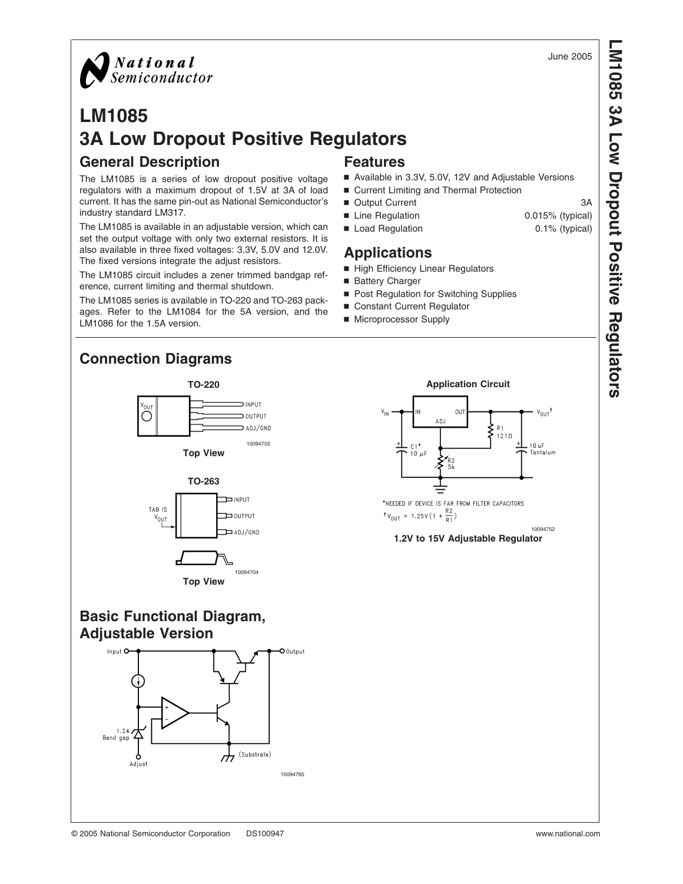June 2005



## **LM1085 3A Low Dropout Positive Regulators General Description Features**

The LM1085 is a series of low dropout positive voltage regulators with a maximum dropout of 1.5V at 3A of load current. It has the same pin-out as National Semiconductor's industry standard LM317.

The LM1085 is available in an adjustable version, which can set the output voltage with only two external resistors. It is also available in three fixed voltages: 3.3V, 5.0V and 12.0V. The fixed versions integrate the adjust resistors.

The LM1085 circuit includes a zener trimmed bandgap reference, current limiting and thermal shutdown.

The LM1085 series is available in TO-220 and TO-263 packages. Refer to the LM1084 for the 5A version, and the LM1086 for the 1.5A version.

- Available in 3.3V, 5.0V, 12V and Adjustable Versions
- Current Limiting and Thermal Protection
- Output Current 3A
- Line Regulation 0.015% (typical)
- Load Regulation 0.1% (typical)

## **Applications**

- High Efficiency Linear Regulators
- Battery Charger
- Post Regulation for Switching Supplies
- Constant Current Regulator
- Microprocessor Supply











## **1.2V to 15V Adjustable Regulator**

**Basic Functional Diagram, Adjustable Version**

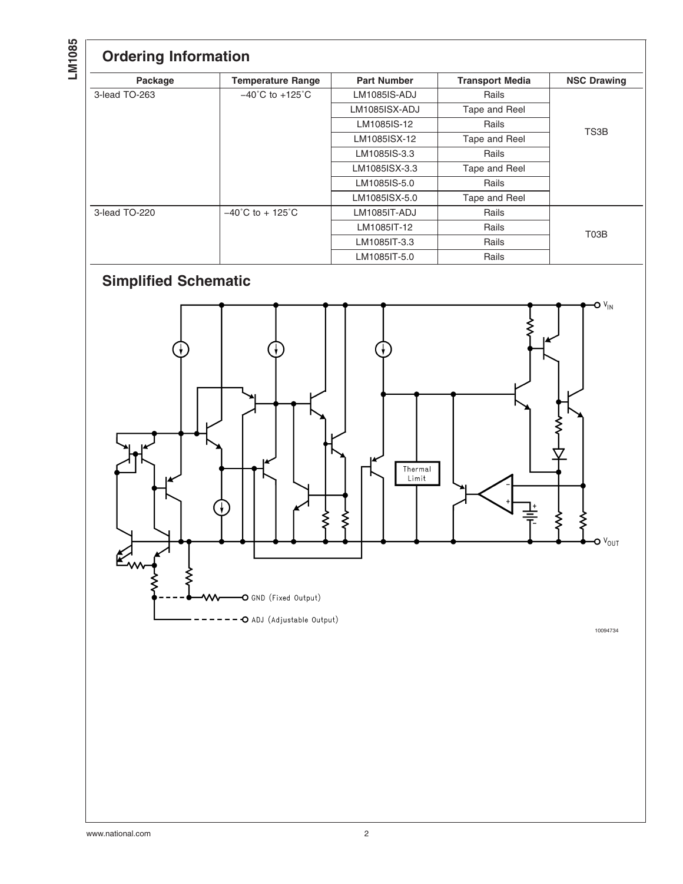**LM1085**

## **Ordering Information**

| Package       | <b>Temperature Range</b>              | <b>Part Number</b>             | <b>Transport Media</b> | <b>NSC Drawing</b> |  |
|---------------|---------------------------------------|--------------------------------|------------------------|--------------------|--|
| 3-lead TO-263 | $-40^{\circ}$ C to $+125^{\circ}$ C   | <b>LM1085IS-ADJ</b>            | Rails                  |                    |  |
|               |                                       | LM1085ISX-ADJ                  | Tape and Reel          |                    |  |
|               |                                       | LM1085IS-12                    | Rails                  | TS3B               |  |
|               |                                       | LM1085ISX-12                   | Tape and Reel          |                    |  |
|               | LM1085IS-3.3                          |                                | Rails                  |                    |  |
|               |                                       | LM1085ISX-3.3<br>Tape and Reel |                        |                    |  |
|               |                                       | LM1085IS-5.0                   | Rails                  |                    |  |
|               |                                       | LM1085ISX-5.0                  | Tape and Reel          |                    |  |
| 3-lead TO-220 | $-40^{\circ}$ C to + 125 $^{\circ}$ C | <b>LM1085IT-ADJ</b>            | Rails                  |                    |  |
|               |                                       | LM1085IT-12                    | Rails                  | T <sub>0</sub> 3B  |  |
|               |                                       | LM1085IT-3.3                   | Rails                  |                    |  |
|               |                                       | LM1085IT-5.0                   | Rails                  |                    |  |

# **Simplified Schematic**



10094734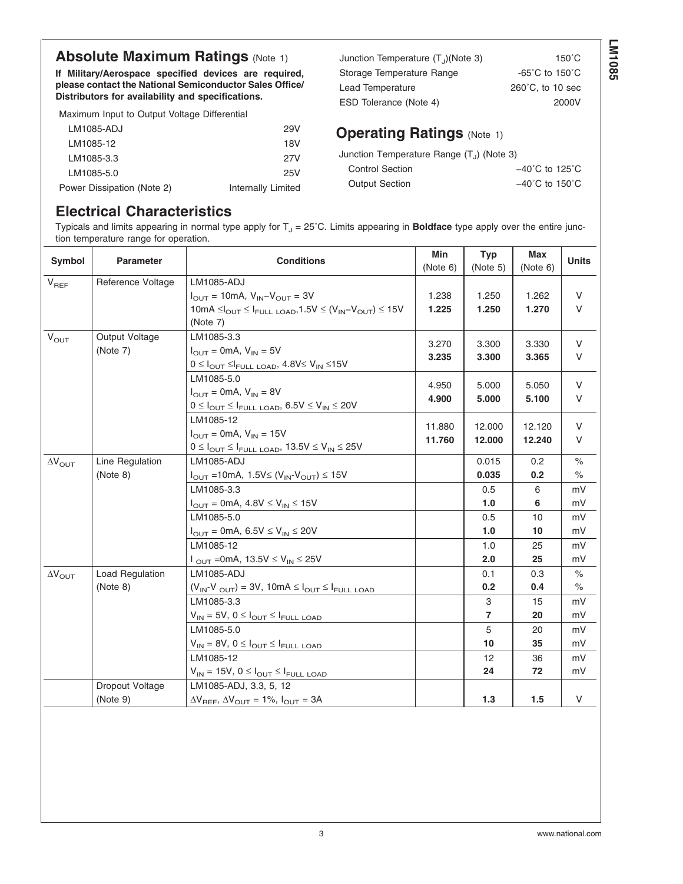## **Absolute Maximum Ratings [\(Note 1\)](#page-3-0)**

**If Military/Aerospace specified devices are required, please contact the National Semiconductor Sales Office/ Distributors for availability and specifications.**

Maximum Input to Output Voltage Differential

| LM1085-ADJ                 | 29V                |
|----------------------------|--------------------|
| LM1085-12                  | 18V                |
| LM1085-3.3                 | 27V                |
| LM1085-5.0                 | 25V                |
| Power Dissipation (Note 2) | Internally Limited |

Junction Temperature  $(T_J)$ (Note 3) 150°C Storage Temperature Range -65°C to 150°C Lead Temperature 260°C, to 10 sec ESD Tolerance [\(Note 4\)](#page-3-0) 2000V

## **Operating Ratings [\(Note 1\)](#page-3-0)**

| Junction Temperature Range $(T_{J})$ (Note 3) |  |
|-----------------------------------------------|--|
| .                                             |  |

| <b>Control Section</b> | $-40^{\circ}$ C to 125 $^{\circ}$ C |
|------------------------|-------------------------------------|
| <b>Output Section</b>  | $-40^{\circ}$ C to 150 $^{\circ}$ C |

## **Electrical Characteristics**

Typicals and limits appearing in normal type apply for  $T_J = 25^{\circ}$ C. Limits appearing in **Boldface** type apply over the entire junction temperature range for operation.

| Symbol                  | <b>Parameter</b>            | <b>Conditions</b>                                                                                                                                            | Min<br>(Note 6)  | <b>Typ</b><br>(Note 5) | <b>Max</b><br>(Note 6) | <b>Units</b>          |
|-------------------------|-----------------------------|--------------------------------------------------------------------------------------------------------------------------------------------------------------|------------------|------------------------|------------------------|-----------------------|
| $V_{REF}$               | Reference Voltage           | <b>LM1085-ADJ</b><br>$I_{\text{OUT}} = 10 \text{mA}, V_{\text{IN}} - V_{\text{OUT}} = 3V$                                                                    | 1.238            | 1.250                  | 1.262                  | V                     |
|                         |                             | 10mA $\leq l_{OUT} \leq l_{FULL\text{ LOAD}}$ , 1.5V $\leq (V_{IN} - V_{OUT}) \leq 15V$<br>(Note 7)                                                          | 1.225            | 1.250                  | 1.270                  | V                     |
| $V_{\text{OUT}}$        | Output Voltage<br>(Note 7)  | LM1085-3.3<br>$I_{\text{OUT}}$ = 0mA, $V_{\text{IN}}$ = 5V<br>$0 \leq I_{\text{OUT}} \leq I_{\text{FULL LOAD}}$ , 4.8V $\leq V_{\text{IN}} \leq 15V$         | 3.270<br>3.235   | 3.300<br>3.300         | 3.330<br>3.365         | V<br>V                |
|                         |                             | LM1085-5.0<br>$I_{\text{OUT}}$ = 0mA, $V_{\text{IN}}$ = 8V<br>$0 \leq I_{\text{OUT}} \leq I_{\text{FULL LOAD}}$ , $6.5V \leq V_{\text{IN}} \leq 20V$         | 4.950<br>4.900   | 5.000<br>5.000         | 5.050<br>5.100         | V<br>V                |
|                         |                             | LM1085-12<br>$I_{\text{OUT}}$ = 0mA, $V_{\text{IN}}$ = 15V<br>$0 \leq I_{\text{OUT}} \leq I_{\text{FULL}\text{ LOAD}}$ , $13.5V \leq V_{\text{IN}} \leq 25V$ | 11.880<br>11.760 | 12.000<br>12.000       | 12.120<br>12.240       | V<br>V                |
| $\Delta V_{\text{OUT}}$ | Line Regulation<br>(Note 8) | LM1085-ADJ<br>$I_{OUT}$ =10mA, 1.5V≤ (V <sub>IN</sub> -V <sub>OUT</sub> ) ≤ 15V                                                                              |                  | 0.015<br>0.035         | 0.2<br>0.2             | $\frac{1}{2}$<br>$\%$ |
|                         |                             | LM1085-3.3<br>$I_{OUT}$ = 0mA, 4.8V $\leq$ V <sub>IN</sub> $\leq$ 15V                                                                                        |                  | 0.5<br>1.0             | 6<br>6                 | mV<br>mV              |
|                         |                             | LM1085-5.0<br>$I_{\text{OUT}} = 0 \text{mA}, 6.5 \text{V} \leq V_{\text{IN}} \leq 20 \text{V}$                                                               |                  | 0.5<br>1.0             | 10<br>10               | mV<br>mV              |
|                         |                             | LM1085-12<br>$1_{\text{OUT}}$ = 0mA, 13.5V $\leq$ V <sub>IN</sub> $\leq$ 25V                                                                                 |                  | 1.0<br>2.0             | 25<br>25               | mV<br>mV              |
| $\Delta V_{\text{OUT}}$ | Load Regulation<br>(Note 8) | <b>LM1085-ADJ</b><br>$(V_{IN}-V_{OUT}) = 3V$ , 10mA $\leq$ $I_{OUT} \leq$ $I_{FULL}$ load                                                                    |                  | 0.1<br>0.2             | 0.3<br>0.4             | $\frac{1}{2}$<br>$\%$ |
|                         |                             | LM1085-3.3<br>$V_{IN} = 5V$ , $0 \leq I_{OUT} \leq I_{FULL}$ load                                                                                            |                  | 3<br>7                 | 15<br>20               | mV<br>mV              |
|                         |                             | LM1085-5.0<br>$V_{IN} = 8V$ , $0 \leq I_{OUT} \leq I_{FULL}$ load                                                                                            |                  | 5<br>10                | 20<br>35               | mV<br>mV              |
|                         |                             | LM1085-12<br>$V_{IN} = 15V$ , $0 \leq I_{OUT} \leq I_{FULL}$ load                                                                                            |                  | 12<br>24               | 36<br>72               | mV<br>mV              |
|                         | Dropout Voltage<br>(Note 9) | LM1085-ADJ, 3.3, 5, 12<br>$\Delta V_{REF}$ , $\Delta V_{OUT}$ = 1%, $I_{OUT}$ = 3A                                                                           |                  | 1.3                    | $1.5$                  | V                     |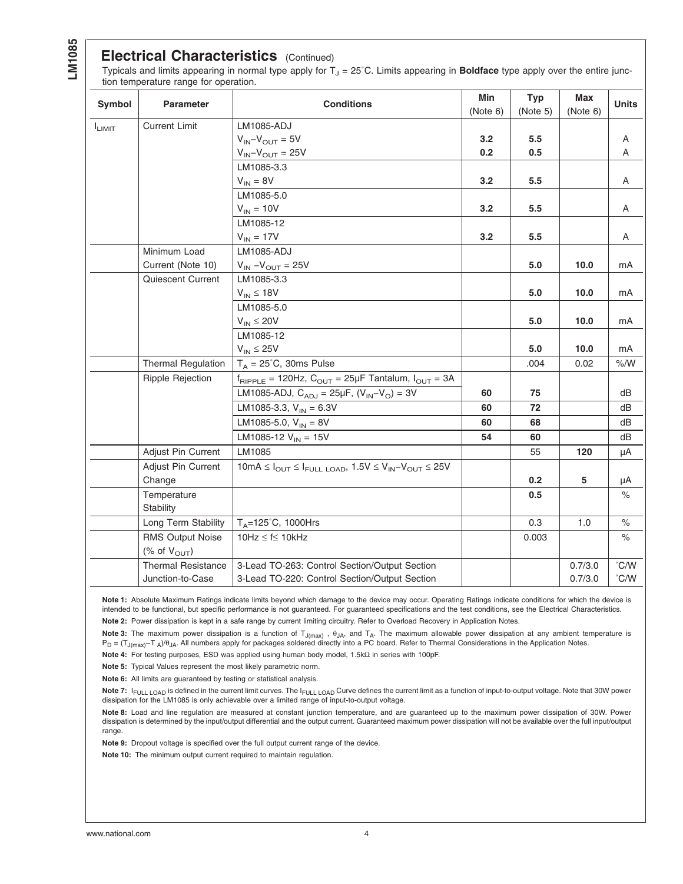<span id="page-3-0"></span>**LM1085**

## **Electrical Characteristics** (Continued)

Typicals and limits appearing in normal type apply for T<sub>J</sub> = 25°C. Limits appearing in **Boldface** type apply over the entire junction temperature range for operation.

| Symbol      | <b>Parameter</b>          | <b>Conditions</b>                                                                                                                         | Min<br>(Note 6) | <b>Typ</b><br>(Note 5) | Max<br>(Note 6) | <b>Units</b>  |
|-------------|---------------------------|-------------------------------------------------------------------------------------------------------------------------------------------|-----------------|------------------------|-----------------|---------------|
| $I_{LIMIT}$ | <b>Current Limit</b>      | <b>LM1085-ADJ</b>                                                                                                                         |                 |                        |                 |               |
|             |                           | $V_{IN} - V_{OUT} = 5V$                                                                                                                   | 3.2             | 5.5                    |                 | Α             |
|             |                           | $V_{IN} - V_{OUT} = 25V$                                                                                                                  | 0.2             | 0.5                    |                 | A             |
|             |                           | LM1085-3.3                                                                                                                                |                 |                        |                 |               |
|             |                           | $V_{IN} = 8V$                                                                                                                             | 3.2             | 5.5                    |                 | A             |
|             |                           | LM1085-5.0                                                                                                                                |                 |                        |                 |               |
|             |                           | $V_{IN} = 10V$                                                                                                                            | 3.2             | 5.5                    |                 | A             |
|             |                           | LM1085-12                                                                                                                                 |                 |                        |                 |               |
|             |                           | $V_{IN} = 17V$                                                                                                                            | 3.2             | 5.5                    |                 | A             |
|             | Minimum Load              | <b>LM1085-ADJ</b>                                                                                                                         |                 |                        |                 |               |
|             | Current (Note 10)         | $V_{IN} - V_{OUT} = 25V$                                                                                                                  |                 | 5.0                    | 10.0            | mA            |
|             | Quiescent Current         | LM1085-3.3                                                                                                                                |                 |                        |                 |               |
|             |                           | $V_{IN} \leq 18V$                                                                                                                         |                 | 5.0                    | 10.0            | mA            |
|             |                           | LM1085-5.0                                                                                                                                |                 |                        |                 |               |
|             |                           | $V_{IN} \leq 20V$                                                                                                                         |                 | 5.0                    | 10.0            | mA            |
|             |                           | LM1085-12                                                                                                                                 |                 |                        |                 |               |
|             |                           | $V_{IN} \leq 25V$                                                                                                                         |                 | 5.0                    | 10.0            | mA            |
|             | <b>Thermal Regulation</b> | $T_A = 25^{\circ}$ C, 30ms Pulse                                                                                                          |                 | .004                   | 0.02            | $\% / W$      |
|             | Ripple Rejection          | $f_{RIPPLE}$ = 120Hz, $C_{OUT}$ = 25µF Tantalum, $I_{OUT}$ = 3A                                                                           |                 |                        |                 |               |
|             |                           | LM1085-ADJ, $C_{ADJ} = 25 \mu F$ , $(V_{IN} - V_{O}) = 3V$                                                                                | 60              | 75                     |                 | dB            |
|             |                           | LM1085-3.3, $V_{IN} = 6.3V$                                                                                                               | 60              | 72                     |                 | dВ            |
|             |                           | LM1085-5.0, $V_{IN} = 8V$                                                                                                                 | 60              | 68                     |                 | dВ            |
|             |                           | LM1085-12 $V_{IN}$ = 15V                                                                                                                  | 54              | 60                     |                 | dB            |
|             | Adjust Pin Current        | LM1085                                                                                                                                    |                 | 55                     | 120             | μA            |
|             | Adjust Pin Current        | $10 \text{mA} \leq I_{\text{OUT}} \leq I_{\text{FULL}\text{ LOAD}}$ , $1.5 \text{V} \leq V_{\text{IN}} - V_{\text{OUT}} \leq 25 \text{V}$ |                 |                        |                 |               |
|             | Change                    |                                                                                                                                           |                 | 0.2                    | 5               | μA            |
|             | Temperature               |                                                                                                                                           |                 | 0.5                    |                 | $\frac{0}{0}$ |
|             | Stability                 |                                                                                                                                           |                 |                        |                 |               |
|             | Long Term Stability       | $T_A = 125^{\circ}$ C, 1000Hrs                                                                                                            |                 | 0.3                    | 1.0             | $\%$          |
|             | <b>RMS Output Noise</b>   | 10Hz $\leq$ f $\leq$ 10kHz                                                                                                                |                 | 0.003                  |                 | $\%$          |
|             | (% of $V_{\text{OUT}}$ )  |                                                                                                                                           |                 |                        |                 |               |
|             | <b>Thermal Resistance</b> | 3-Lead TO-263: Control Section/Output Section                                                                                             |                 |                        | 0.7/3.0         | °C/W          |
|             | Junction-to-Case          | 3-Lead TO-220: Control Section/Output Section                                                                                             |                 |                        | 0.7/3.0         | $\degree$ C/W |

**Note 1:** Absolute Maximum Ratings indicate limits beyond which damage to the device may occur. Operating Ratings indicate conditions for which the device is intended to be functional, but specific performance is not guaranteed. For guaranteed specifications and the test conditions, see the Electrical Characteristics. **Note 2:** Power dissipation is kept in a safe range by current limiting circuitry. Refer to Overload Recovery in Application Notes.

**Note 3:** The maximum power dissipation is a function of TJ(max) , θJA, and TA. The maximum allowable power dissipation at any ambient temperature is  $P_D = (T_{J(max)}-T_A)/\theta_{JA}$ . All numbers apply for packages soldered directly into a PC board. Refer to Thermal Considerations in the Application Notes.

**Note 4:** For testing purposes, ESD was applied using human body model, 1.5kΩ in series with 100pF.

**Note 5:** Typical Values represent the most likely parametric norm.

**Note 6:** All limits are guaranteed by testing or statistical analysis.

Note 7: I<sub>FULL LOAD</sub> is defined in the current limit curves. The I<sub>FULL LOAD</sub> Curve defines the current limit as a function of input-to-output voltage. Note that 30W power dissipation for the LM1085 is only achievable over a limited range of input-to-output voltage.

**Note 8:** Load and line regulation are measured at constant junction temperature, and are guaranteed up to the maximum power dissipation of 30W. Power dissipation is determined by the input/output differential and the output current. Guaranteed maximum power dissipation will not be available over the full input/output range.

**Note 9:** Dropout voltage is specified over the full output current range of the device.

**Note 10:** The minimum output current required to maintain regulation.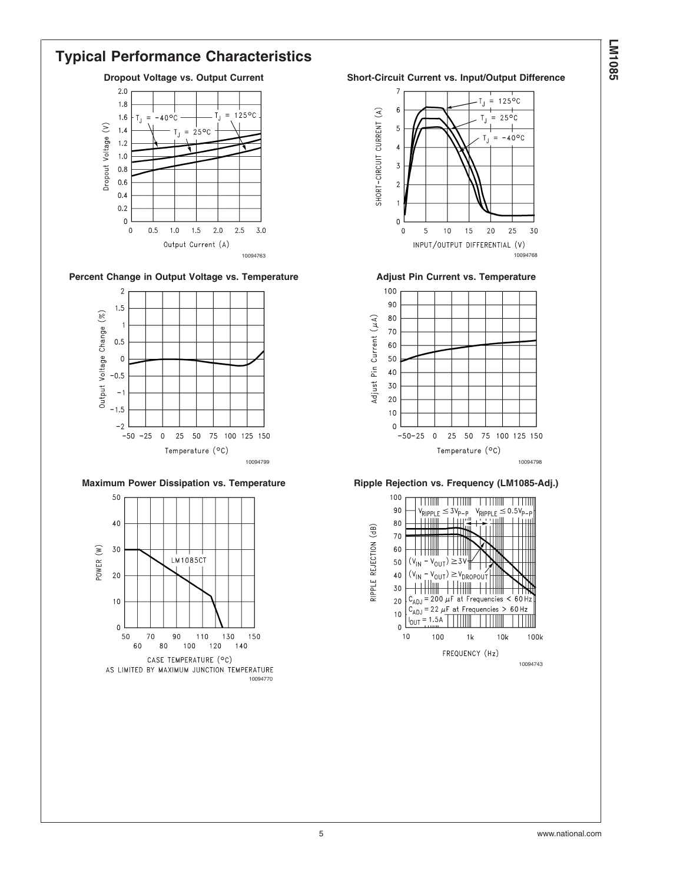## **Typical Performance Characteristics**





#### Percent Change in Output Voltage vs. Temperature **Adjust Pin Current vs. Temperature**



## **Maximum Power Dissipation vs. Temperature Ripple Rejection vs. Frequency (LM1085-Adj.)**



#### **Dropout Voltage vs. Output Current Short-Circuit Current vs. Input/Output Difference**

![](_page_4_Figure_8.jpeg)

![](_page_4_Figure_10.jpeg)

![](_page_4_Figure_11.jpeg)

![](_page_4_Figure_12.jpeg)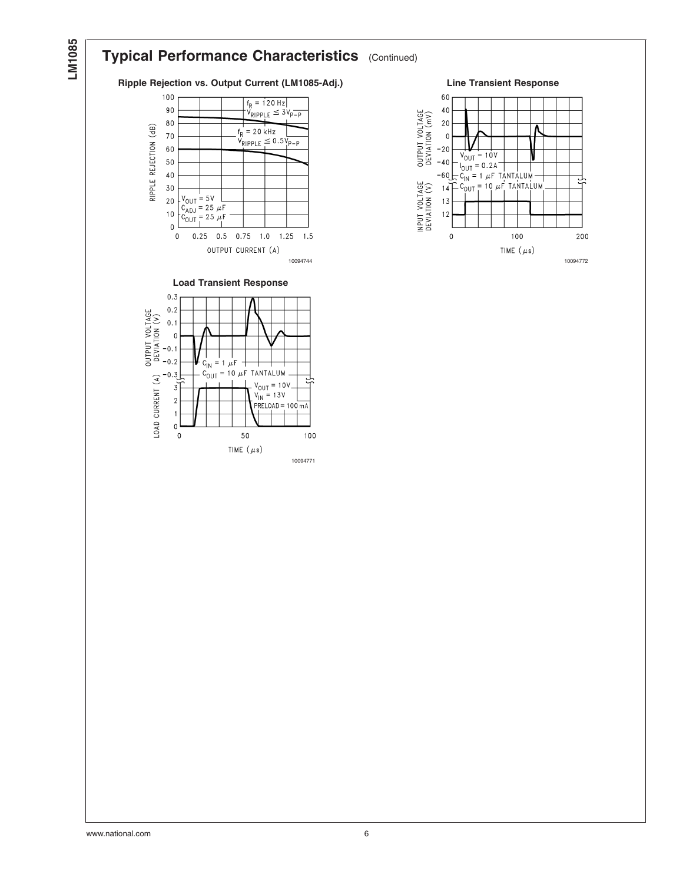# **LM1085**

## **Typical Performance Characteristics** (Continued)

## **Ripple Rejection vs. Output Current (LM1085-Adj.) Line Transient Response**

![](_page_5_Figure_3.jpeg)

![](_page_5_Figure_4.jpeg)

![](_page_5_Figure_5.jpeg)

![](_page_5_Figure_6.jpeg)

10094771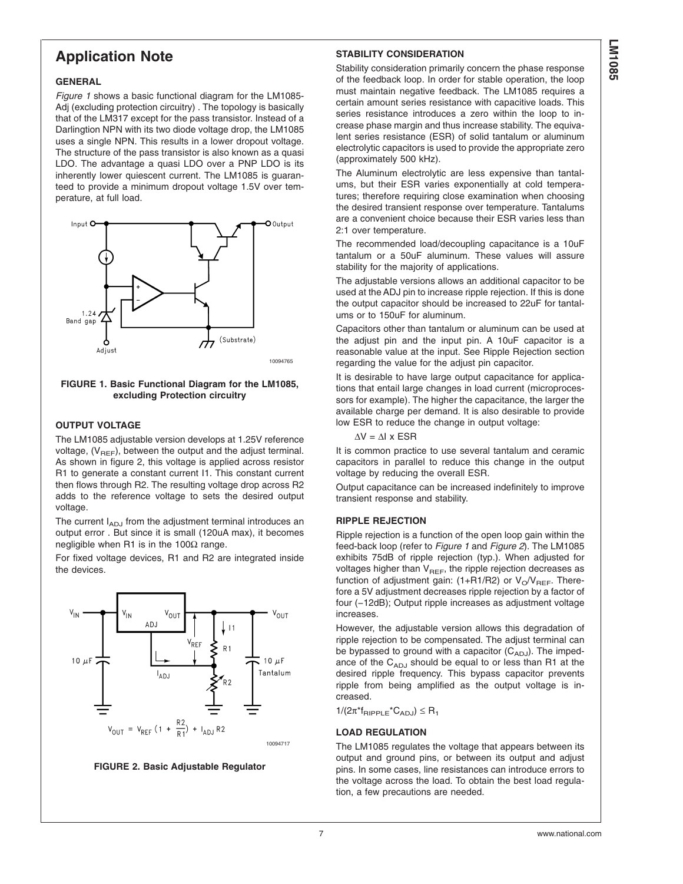## **Application Note**

#### **GENERAL**

*Figure 1* shows a basic functional diagram for the LM1085- Adj (excluding protection circuitry) . The topology is basically that of the LM317 except for the pass transistor. Instead of a Darlingtion NPN with its two diode voltage drop, the LM1085 uses a single NPN. This results in a lower dropout voltage. The structure of the pass transistor is also known as a quasi LDO. The advantage a quasi LDO over a PNP LDO is its inherently lower quiescent current. The LM1085 is guaranteed to provide a minimum dropout voltage 1.5V over temperature, at full load.

![](_page_6_Figure_3.jpeg)

**FIGURE 1. Basic Functional Diagram for the LM1085, excluding Protection circuitry**

#### **OUTPUT VOLTAGE**

The LM1085 adjustable version develops at 1.25V reference voltage,  $(V_{REF})$ , between the output and the adjust terminal. As shown in figure 2, this voltage is applied across resistor R1 to generate a constant current I1. This constant current then flows through R2. The resulting voltage drop across R2 adds to the reference voltage to sets the desired output voltage.

The current  $I_{AD,J}$  from the adjustment terminal introduces an output error . But since it is small (120uA max), it becomes negligible when R1 is in the 100 $Ω$  range.

For fixed voltage devices, R1 and R2 are integrated inside the devices.

![](_page_6_Figure_9.jpeg)

![](_page_6_Figure_10.jpeg)

## **STABILITY CONSIDERATION**

Stability consideration primarily concern the phase response of the feedback loop. In order for stable operation, the loop must maintain negative feedback. The LM1085 requires a certain amount series resistance with capacitive loads. This series resistance introduces a zero within the loop to increase phase margin and thus increase stability. The equivalent series resistance (ESR) of solid tantalum or aluminum electrolytic capacitors is used to provide the appropriate zero (approximately 500 kHz).

The Aluminum electrolytic are less expensive than tantalums, but their ESR varies exponentially at cold temperatures; therefore requiring close examination when choosing the desired transient response over temperature. Tantalums are a convenient choice because their ESR varies less than 2:1 over temperature.

The recommended load/decoupling capacitance is a 10uF tantalum or a 50uF aluminum. These values will assure stability for the majority of applications.

The adjustable versions allows an additional capacitor to be used at the ADJ pin to increase ripple rejection. If this is done the output capacitor should be increased to 22uF for tantalums or to 150uF for aluminum.

Capacitors other than tantalum or aluminum can be used at the adjust pin and the input pin. A 10uF capacitor is a reasonable value at the input. See Ripple Rejection section regarding the value for the adjust pin capacitor.

It is desirable to have large output capacitance for applications that entail large changes in load current (microprocessors for example). The higher the capacitance, the larger the available charge per demand. It is also desirable to provide low ESR to reduce the change in output voltage:

 $\Delta V = \Delta I \times ESR$ 

It is common practice to use several tantalum and ceramic capacitors in parallel to reduce this change in the output voltage by reducing the overall ESR.

Output capacitance can be increased indefinitely to improve transient response and stability.

#### **RIPPLE REJECTION**

Ripple rejection is a function of the open loop gain within the feed-back loop (refer to *Figure 1* and *Figure 2*). The LM1085 exhibits 75dB of ripple rejection (typ.). When adjusted for voltages higher than  $V_{REF}$ , the ripple rejection decreases as function of adjustment gain: (1+R1/R2) or  $V_O/V_{BEF}$ . Therefore a 5V adjustment decreases ripple rejection by a factor of four (−12dB); Output ripple increases as adjustment voltage increases.

However, the adjustable version allows this degradation of ripple rejection to be compensated. The adjust terminal can be bypassed to ground with a capacitor  $(C_{ADJ})$ . The impedance of the  $C_{ADJ}$  should be equal to or less than R1 at the desired ripple frequency. This bypass capacitor prevents ripple from being amplified as the output voltage is increased.

 $1/(2\pi^*f_{\text{RIPPLE}}^*C_{\text{ADJ}}) \leq R_1$ 

## **LOAD REGULATION**

The LM1085 regulates the voltage that appears between its output and ground pins, or between its output and adjust pins. In some cases, line resistances can introduce errors to the voltage across the load. To obtain the best load regulation, a few precautions are needed.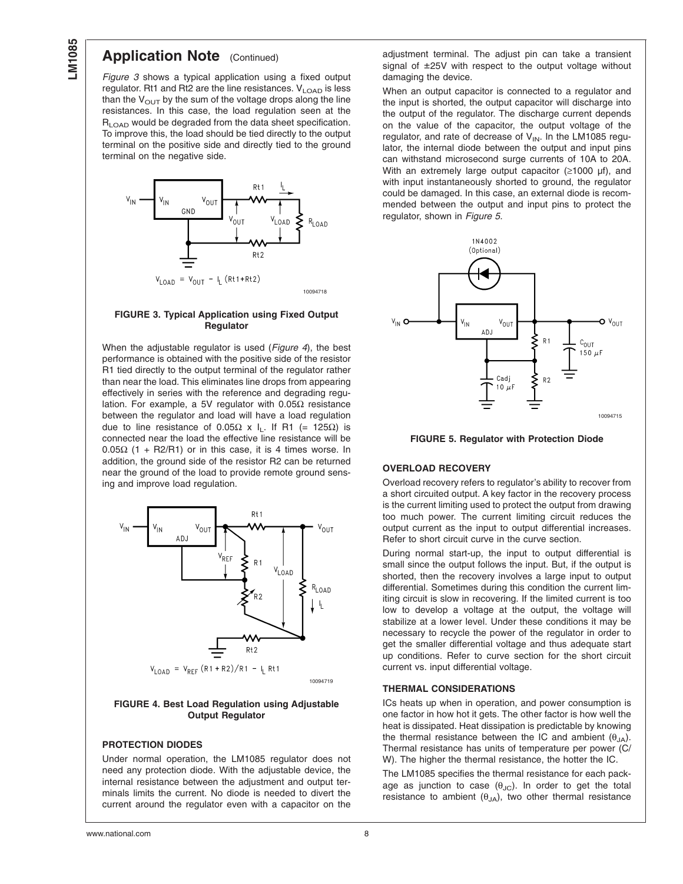## **Application Note** (Continued)

*Figure 3* shows a typical application using a fixed output regulator. Rt1 and Rt2 are the line resistances.  $V_{\text{LOAD}}$  is less than the  $V_{\text{OUT}}$  by the sum of the voltage drops along the line resistances. In this case, the load regulation seen at the R<sub>LOAD</sub> would be degraded from the data sheet specification. To improve this, the load should be tied directly to the output terminal on the positive side and directly tied to the ground terminal on the negative side.

![](_page_7_Figure_3.jpeg)

#### **FIGURE 3. Typical Application using Fixed Output Regulator**

When the adjustable regulator is used (*Figure 4*), the best performance is obtained with the positive side of the resistor R1 tied directly to the output terminal of the regulator rather than near the load. This eliminates line drops from appearing effectively in series with the reference and degrading regulation. For example, a 5V regulator with 0.05Ω resistance between the regulator and load will have a load regulation due to line resistance of 0.05Ω x I<sub>L</sub>. If R1 (= 125Ω) is connected near the load the effective line resistance will be 0.05Ω (1 + R2/R1) or in this case, it is 4 times worse. In addition, the ground side of the resistor R2 can be returned near the ground of the load to provide remote ground sensing and improve load regulation.

![](_page_7_Figure_6.jpeg)

#### **FIGURE 4. Best Load Regulation using Adjustable Output Regulator**

#### **PROTECTION DIODES**

Under normal operation, the LM1085 regulator does not need any protection diode. With the adjustable device, the internal resistance between the adjustment and output terminals limits the current. No diode is needed to divert the current around the regulator even with a capacitor on the adjustment terminal. The adjust pin can take a transient signal of ±25V with respect to the output voltage without damaging the device.

When an output capacitor is connected to a regulator and the input is shorted, the output capacitor will discharge into the output of the regulator. The discharge current depends on the value of the capacitor, the output voltage of the regulator, and rate of decrease of  $V_{IN}$ . In the LM1085 regulator, the internal diode between the output and input pins can withstand microsecond surge currents of 10A to 20A. With an extremely large output capacitor ( $\geq$ 1000 µf), and with input instantaneously shorted to ground, the regulator could be damaged. In this case, an external diode is recommended between the output and input pins to protect the regulator, shown in *Figure 5*.

![](_page_7_Figure_12.jpeg)

![](_page_7_Figure_13.jpeg)

#### **OVERLOAD RECOVERY**

Overload recovery refers to regulator's ability to recover from a short circuited output. A key factor in the recovery process is the current limiting used to protect the output from drawing too much power. The current limiting circuit reduces the output current as the input to output differential increases. Refer to short circuit curve in the curve section.

During normal start-up, the input to output differential is small since the output follows the input. But, if the output is shorted, then the recovery involves a large input to output differential. Sometimes during this condition the current limiting circuit is slow in recovering. If the limited current is too low to develop a voltage at the output, the voltage will stabilize at a lower level. Under these conditions it may be necessary to recycle the power of the regulator in order to get the smaller differential voltage and thus adequate start up conditions. Refer to curve section for the short circuit current vs. input differential voltage.

#### **THERMAL CONSIDERATIONS**

ICs heats up when in operation, and power consumption is one factor in how hot it gets. The other factor is how well the heat is dissipated. Heat dissipation is predictable by knowing the thermal resistance between the IC and ambient  $(\theta_{JA})$ . Thermal resistance has units of temperature per power (C/ W). The higher the thermal resistance, the hotter the IC.

The LM1085 specifies the thermal resistance for each package as junction to case  $(\theta_{JC})$ . In order to get the total resistance to ambient  $(\theta_{JA})$ , two other thermal resistance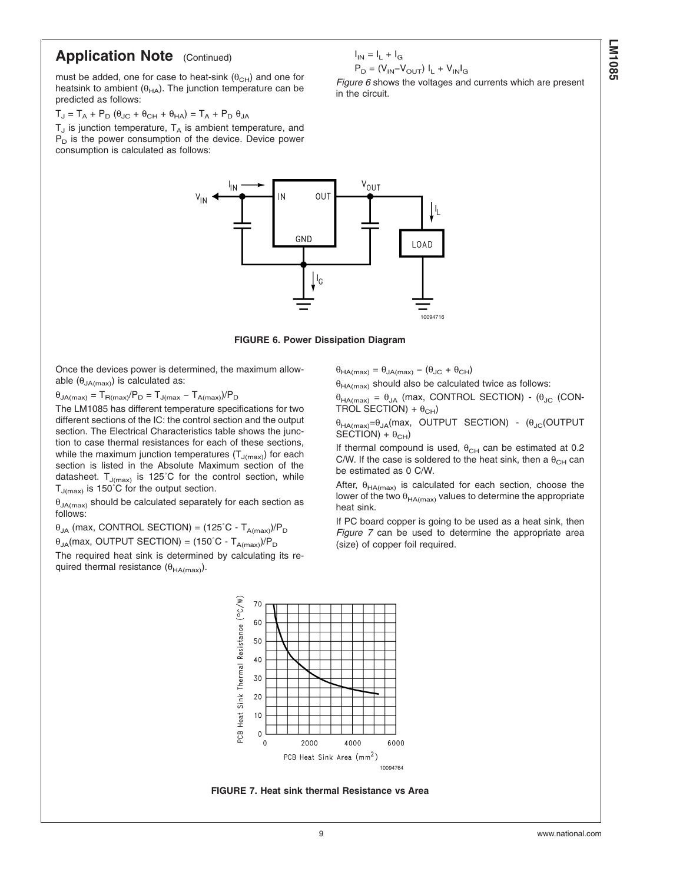## **Application Note** (Continued)

must be added, one for case to heat-sink  $(\theta_{CH})$  and one for heatsink to ambient  $(\theta_{HA})$ . The junction temperature can be predicted as follows:

 $T_J = T_A + P_D (\theta_{JC} + \theta_{CH} + \theta_{HA}) = T_A + P_D \theta_{JA}$ 

 $T_J$  is junction temperature,  $T_A$  is ambient temperature, and  $P_D$  is the power consumption of the device. Device power consumption is calculated as follows:

![](_page_8_Figure_4.jpeg)

 $I_{IN} = I_L + I_G$ 

in the circuit.

 $\mathsf{P}_{\mathsf{D}} = \left(\mathsf{V}_{\mathsf{IN}}\text{-}\mathsf{V}_{\mathsf{OUT}}\right)\;\mathsf{I}_{\mathsf{L}} + \mathsf{V}_{\mathsf{IN}}\mathsf{I}_{\mathsf{G}}$ 

*Figure 6* shows the voltages and currents which are present

**FIGURE 6. Power Dissipation Diagram**

Once the devices power is determined, the maximum allowable  $(\theta_{JA(max)})$  is calculated as:

 $\theta_{JA(max)} = T_{B(max)} / P_D = T_{J(max)} - T_{A(max)} / P_D$ 

The LM1085 has different temperature specifications for two different sections of the IC: the control section and the output section. The Electrical Characteristics table shows the junction to case thermal resistances for each of these sections, while the maximum junction temperatures  $(T_{J(max)})$  for each section is listed in the Absolute Maximum section of the datasheet.  $T_{J(max)}$  is 125°C for the control section, while  $T_{J(max)}$  is 150°C for the output section.

 $\theta_{JA(max)}$  should be calculated separately for each section as follows<sup>:</sup>

 $\theta_{JA}$  (max, CONTROL SECTION) = (125°C - T<sub>A(max)</sub>)/P<sub>D</sub>

θ<sub>JA</sub>(max, OUTPUT SECTION) = (150°C - T<sub>A(max)</sub>)/P<sub>D</sub>

The required heat sink is determined by calculating its required thermal resistance  $(\theta_{HA(max)})$ .

 $\theta_{HA(max)} = \theta_{JA(max)} - (\theta_{JC} + \theta_{CH})$ 

 $\theta_{HA(max)}$  should also be calculated twice as follows:

 $\theta_{HA(max)} = \theta_{JA}$  (max, CONTROL SECTION) - ( $\theta_{JC}$  (CON-TROL SECTION) +  $\theta_{CH}$ )

 $\theta_{HA(max)} = \theta_{JA}$ (max, OUTPUT SECTION) - ( $\theta_{JC}$ (OUTPUT  $SECTION + \theta_{CH}$ 

If thermal compound is used,  $\theta_{CH}$  can be estimated at 0.2 C/W. If the case is soldered to the heat sink, then a  $\theta_{CH}$  can be estimated as 0 C/W.

After,  $\theta_{HA(max)}$  is calculated for each section, choose the lower of the two  $\theta_{HA(max)}$  values to determine the appropriate heat sink.

If PC board copper is going to be used as a heat sink, then *Figure 7* can be used to determine the appropriate area (size) of copper foil required.

![](_page_8_Figure_20.jpeg)

**FIGURE 7. Heat sink thermal Resistance vs Area**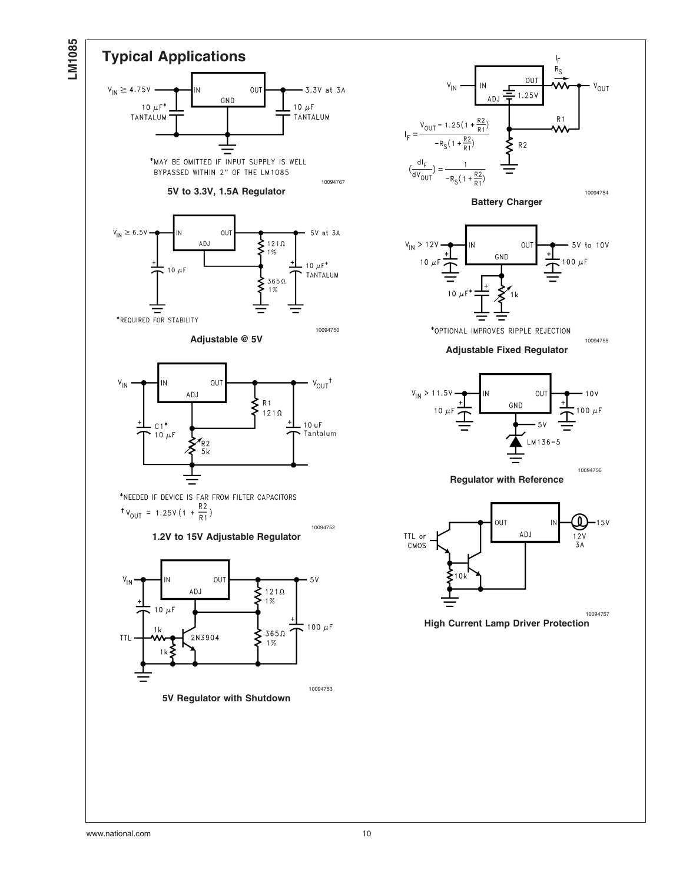![](_page_9_Figure_0.jpeg)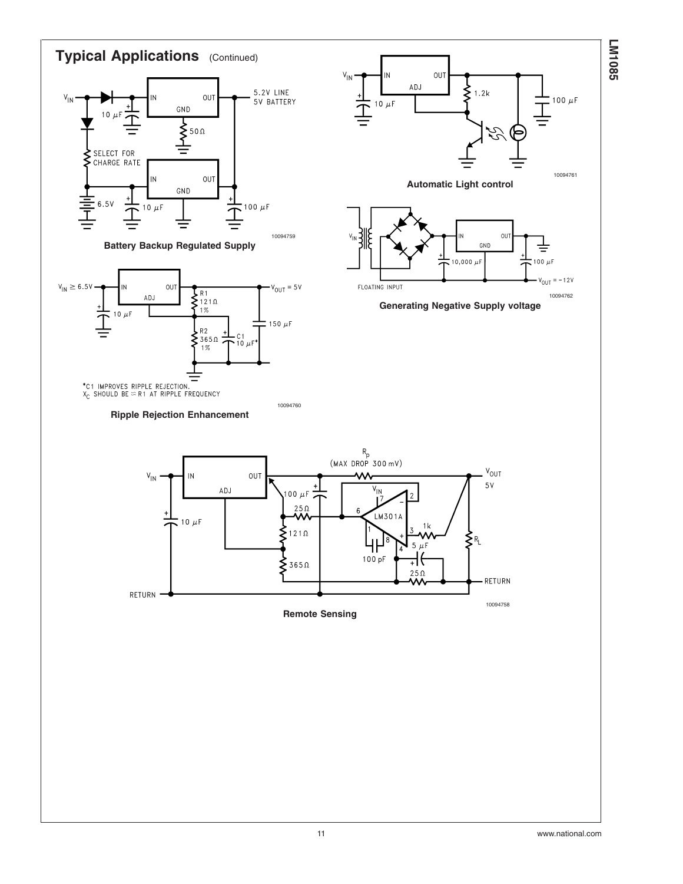![](_page_10_Figure_0.jpeg)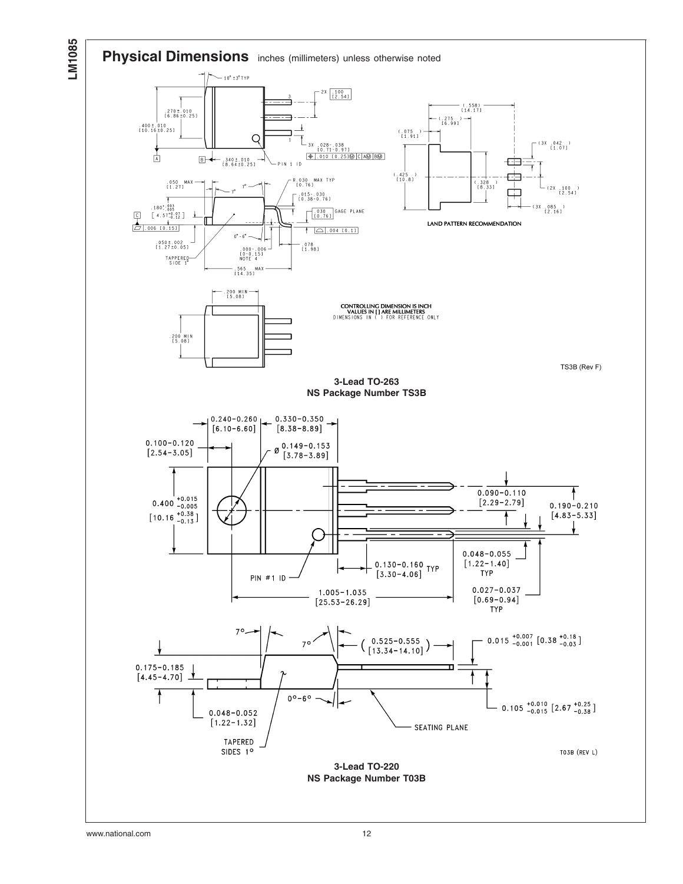![](_page_11_Figure_0.jpeg)